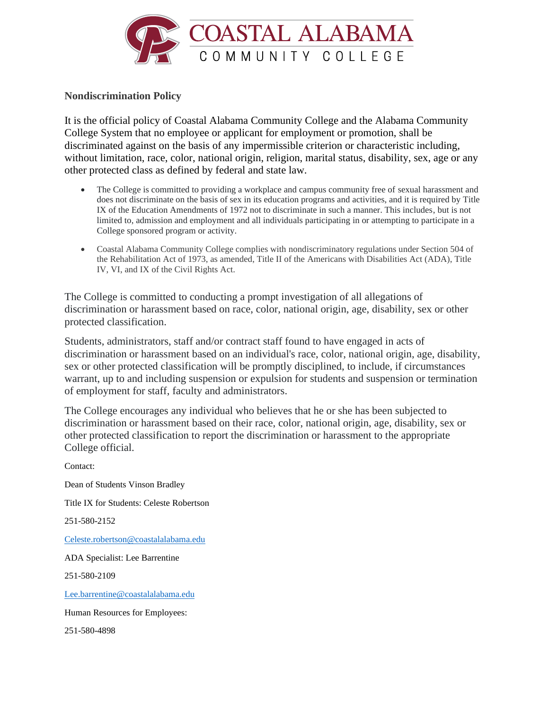

## **Nondiscrimination Policy**

It is the official policy of Coastal Alabama Community College and the Alabama Community College System that no employee or applicant for employment or promotion, shall be discriminated against on the basis of any impermissible criterion or characteristic including, without limitation, race, color, national origin, religion, marital status, disability, sex, age or any other protected class as defined by federal and state law.

- The College is committed to providing a workplace and campus community free of sexual harassment and does not discriminate on the basis of sex in its education programs and activities, and it is required by Title IX of the Education Amendments of 1972 not to discriminate in such a manner. This includes, but is not limited to, admission and employment and all individuals participating in or attempting to participate in a College sponsored program or activity.
- Coastal Alabama Community College complies with nondiscriminatory regulations under Section 504 of the Rehabilitation Act of 1973, as amended, Title II of the Americans with Disabilities Act (ADA), Title IV, VI, and IX of the Civil Rights Act.

The College is committed to conducting a prompt investigation of all allegations of discrimination or harassment based on race, color, national origin, age, disability, sex or other protected classification.

Students, administrators, staff and/or contract staff found to have engaged in acts of discrimination or harassment based on an individual's race, color, national origin, age, disability, sex or other protected classification will be promptly disciplined, to include, if circumstances warrant, up to and including suspension or expulsion for students and suspension or termination of employment for staff, faculty and administrators.

The College encourages any individual who believes that he or she has been subjected to discrimination or harassment based on their race, color, national origin, age, disability, sex or other protected classification to report the discrimination or harassment to the appropriate College official.

Contact: Dean of Students Vinson Bradley Title IX for Students: Celeste Robertson 251-580-2152 [Celeste.robertson@coastalalabama.edu](mailto:Celeste.robertson@coastalalabama.edu) ADA Specialist: Lee Barrentine 251-580-2109 [Lee.barrentine@coastalalabama.edu](mailto:Lee.barrentine@coastalalabama.edu) Human Resources for Employees: 251-580-4898